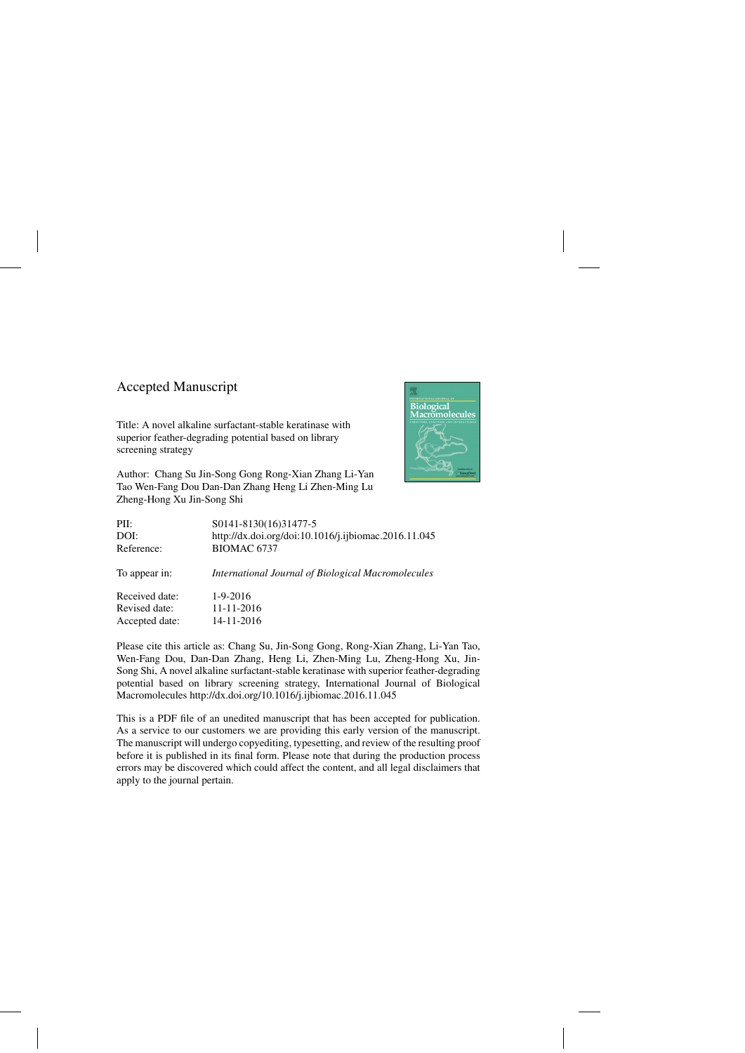## Accepted Manuscript

Title: A novel alkaline surfactant-stable keratinase with superior feather-degrading potential based on library screening strategy

Author: Chang Su Jin-Song Gong Rong-Xian Zhang Li-Yan Tao Wen-Fang Dou Dan-Dan Zhang Heng Li Zhen-Ming Lu Zheng-Hong Xu Jin-Song Shi



| PII:           | S0141-8130(16)31477-5                                |
|----------------|------------------------------------------------------|
| DOI:           | http://dx.doi.org/doi:10.1016/j.ijbiomac.2016.11.045 |
| Reference:     | BIOMAC 6737                                          |
| To appear in:  | International Journal of Biological Macromolecules   |
| Received date: | $1-9-2016$                                           |
| Revised date:  | 11-11-2016                                           |
| Accepted date: | 14-11-2016                                           |

Please cite this article as: Chang Su, Jin-Song Gong, Rong-Xian Zhang, Li-Yan Tao, Wen-Fang Dou, Dan-Dan Zhang, Heng Li, Zhen-Ming Lu, Zheng-Hong Xu, Jin-Song Shi, A novel alkaline surfactant-stable keratinase with superior feather-degrading potential based on library screening strategy, International Journal of Biological Macromolecules<http://dx.doi.org/10.1016/j.ijbiomac.2016.11.045>

This is a PDF file of an unedited manuscript that has been accepted for publication. As a service to our customers we are providing this early version of the manuscript. The manuscript will undergo copyediting, typesetting, and review of the resulting proof before it is published in its final form. Please note that during the production process errors may be discovered which could affect the content, and all legal disclaimers that apply to the journal pertain.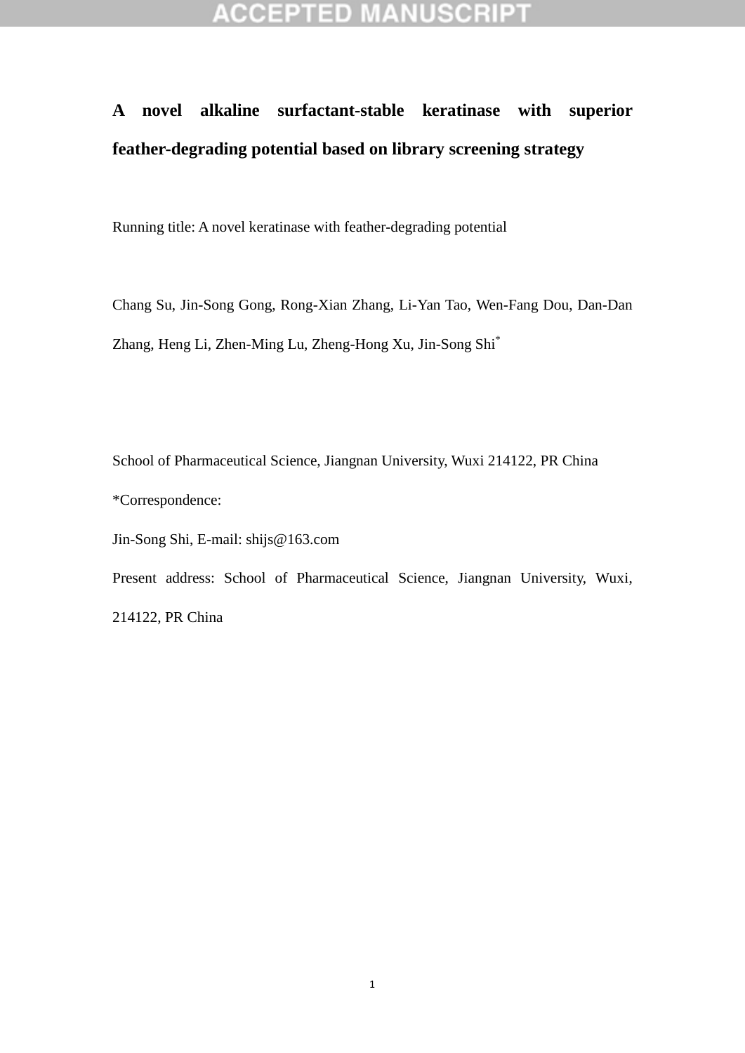## **ACCEPTED MANUSCRIPT**

## **A novel alkaline surfactant-stable keratinase with superior feather-degrading potential based on library screening strategy**

Running title: A novel keratinase with feather-degrading potential

Chang Su, Jin-Song Gong, Rong-Xian Zhang, Li-Yan Tao, Wen-Fang Dou, Dan-Dan Zhang, Heng Li, Zhen-Ming Lu, Zheng-Hong Xu, Jin-Song Shi\*

School of Pharmaceutical Science, Jiangnan University, Wuxi 214122, PR China \*Correspondence: Jin-Song Shi, E-mail: shijs@163.com

Present address: School of Pharmaceutical Science, Jiangnan University, Wuxi, 214122, PR China